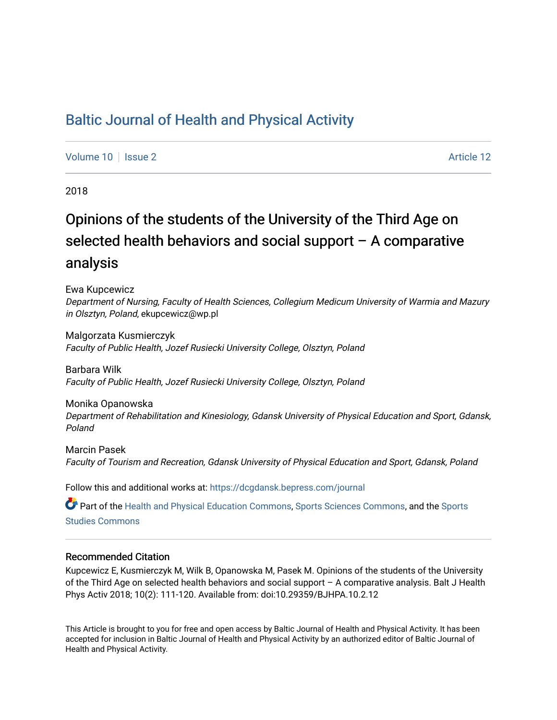## [Baltic Journal of Health and Physical Activity](https://dcgdansk.bepress.com/journal)

[Volume 10](https://dcgdansk.bepress.com/journal/vol10) | [Issue 2](https://dcgdansk.bepress.com/journal/vol10/iss2) Article 12

2018

# Opinions of the students of the University of the Third Age on selected health behaviors and social support – A comparative analysis

Ewa Kupcewicz

Department of Nursing, Faculty of Health Sciences, Collegium Medicum University of Warmia and Mazury in Olsztyn, Poland, ekupcewicz@wp.pl

Malgorzata Kusmierczyk Faculty of Public Health, Jozef Rusiecki University College, Olsztyn, Poland

Barbara Wilk Faculty of Public Health, Jozef Rusiecki University College, Olsztyn, Poland

Monika Opanowska Department of Rehabilitation and Kinesiology, Gdansk University of Physical Education and Sport, Gdansk, Poland

Marcin Pasek Faculty of Tourism and Recreation, Gdansk University of Physical Education and Sport, Gdansk, Poland

Follow this and additional works at: [https://dcgdansk.bepress.com/journal](https://dcgdansk.bepress.com/journal?utm_source=dcgdansk.bepress.com%2Fjournal%2Fvol10%2Fiss2%2F12&utm_medium=PDF&utm_campaign=PDFCoverPages)

Part of the [Health and Physical Education Commons](http://network.bepress.com/hgg/discipline/1327?utm_source=dcgdansk.bepress.com%2Fjournal%2Fvol10%2Fiss2%2F12&utm_medium=PDF&utm_campaign=PDFCoverPages), [Sports Sciences Commons](http://network.bepress.com/hgg/discipline/759?utm_source=dcgdansk.bepress.com%2Fjournal%2Fvol10%2Fiss2%2F12&utm_medium=PDF&utm_campaign=PDFCoverPages), and the Sports [Studies Commons](http://network.bepress.com/hgg/discipline/1198?utm_source=dcgdansk.bepress.com%2Fjournal%2Fvol10%2Fiss2%2F12&utm_medium=PDF&utm_campaign=PDFCoverPages) 

#### Recommended Citation

Kupcewicz E, Kusmierczyk M, Wilk B, Opanowska M, Pasek M. Opinions of the students of the University of the Third Age on selected health behaviors and social support – A comparative analysis. Balt J Health Phys Activ 2018; 10(2): 111-120. Available from: doi:10.29359/BJHPA.10.2.12

This Article is brought to you for free and open access by Baltic Journal of Health and Physical Activity. It has been accepted for inclusion in Baltic Journal of Health and Physical Activity by an authorized editor of Baltic Journal of Health and Physical Activity.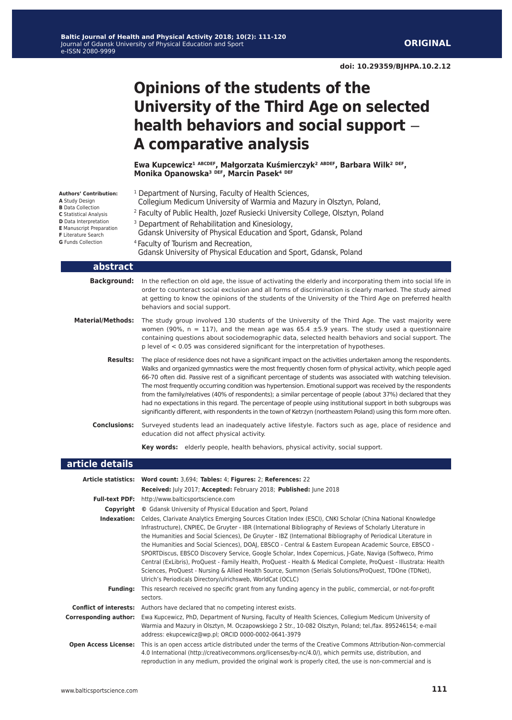## **Opinions of the students of the University of the Third Age on selected health behaviors and social support** ‒ **A comparative analysis**

**Ewa Kupcewicz¹ ABCDEF, Małgorzata Kuśmierczyk² ABDEF, Barbara Wilk² DEF, Monika Opanowska³ DEF, Marcin Pasek⁴ DEF**

| Authors' Contribution:<br>A Study Design<br><b>B</b> Data Collection<br>C Statistical Analysis<br>D Data Interpretation<br><b>E</b> Manuscript Preparation<br>F Literature Search<br>G Funds Collection | <sup>1</sup> Department of Nursing, Faculty of Health Sciences,<br>Collegium Medicum University of Warmia and Mazury in Olsztyn, Poland,<br><sup>2</sup> Faculty of Public Health, Jozef Rusiecki University College, Olsztyn, Poland<br><sup>3</sup> Department of Rehabilitation and Kinesiology,<br>Gdansk University of Physical Education and Sport, Gdansk, Poland<br><sup>4</sup> Faculty of Tourism and Recreation,<br>Gdansk University of Physical Education and Sport, Gdansk, Poland                                                                                                                                                                                                                                                                                                                       |  |  |  |  |  |  |  |
|---------------------------------------------------------------------------------------------------------------------------------------------------------------------------------------------------------|------------------------------------------------------------------------------------------------------------------------------------------------------------------------------------------------------------------------------------------------------------------------------------------------------------------------------------------------------------------------------------------------------------------------------------------------------------------------------------------------------------------------------------------------------------------------------------------------------------------------------------------------------------------------------------------------------------------------------------------------------------------------------------------------------------------------|--|--|--|--|--|--|--|
| abstract                                                                                                                                                                                                |                                                                                                                                                                                                                                                                                                                                                                                                                                                                                                                                                                                                                                                                                                                                                                                                                        |  |  |  |  |  |  |  |
| <b>Background:</b>                                                                                                                                                                                      | In the reflection on old age, the issue of activating the elderly and incorporating them into social life in<br>order to counteract social exclusion and all forms of discrimination is clearly marked. The study aimed<br>at getting to know the opinions of the students of the University of the Third Age on preferred health<br>behaviors and social support.                                                                                                                                                                                                                                                                                                                                                                                                                                                     |  |  |  |  |  |  |  |
| <b>Material/Methods:</b>                                                                                                                                                                                | The study group involved 130 students of the University of the Third Age. The vast majority were<br>women (90%, $n = 117$ ), and the mean age was 65.4 $\pm$ 5.9 years. The study used a questionnaire<br>containing questions about sociodemographic data, selected health behaviors and social support. The<br>$p$ level of $< 0.05$ was considered significant for the interpretation of hypotheses.                                                                                                                                                                                                                                                                                                                                                                                                                |  |  |  |  |  |  |  |
| <b>Results:</b>                                                                                                                                                                                         | The place of residence does not have a significant impact on the activities undertaken among the respondents.<br>Walks and organized gymnastics were the most frequently chosen form of physical activity, which people aged<br>66-70 often did. Passive rest of a significant percentage of students was associated with watching television.<br>The most frequently occurring condition was hypertension. Emotional support was received by the respondents<br>from the family/relatives (40% of respondents); a similar percentage of people (about 37%) declared that they<br>had no expectations in this regard. The percentage of people using institutional support in both subgroups was<br>significantly different, with respondents in the town of Ketrzyn (northeastern Poland) using this form more often. |  |  |  |  |  |  |  |
| <b>Conclusions:</b>                                                                                                                                                                                     | Surveyed students lead an inadequately active lifestyle. Factors such as age, place of residence and<br>education did not affect physical activity.                                                                                                                                                                                                                                                                                                                                                                                                                                                                                                                                                                                                                                                                    |  |  |  |  |  |  |  |
|                                                                                                                                                                                                         | Key words: elderly people, health behaviors, physical activity, social support.                                                                                                                                                                                                                                                                                                                                                                                                                                                                                                                                                                                                                                                                                                                                        |  |  |  |  |  |  |  |
| article details                                                                                                                                                                                         |                                                                                                                                                                                                                                                                                                                                                                                                                                                                                                                                                                                                                                                                                                                                                                                                                        |  |  |  |  |  |  |  |
|                                                                                                                                                                                                         | Article statistics: Word count: 3,694; Tables: 4; Figures: 2; References: 22<br>Received: July 2017; Accepted: February 2018; Published: June 2018                                                                                                                                                                                                                                                                                                                                                                                                                                                                                                                                                                                                                                                                     |  |  |  |  |  |  |  |
|                                                                                                                                                                                                         | Eull-tayt DDE: http://www.balticcportscionso.com                                                                                                                                                                                                                                                                                                                                                                                                                                                                                                                                                                                                                                                                                                                                                                       |  |  |  |  |  |  |  |

- **Full-text PDF:** http://www.balticsportscience.com
	- **Copyright ©** Gdansk University of Physical Education and Sport, Poland
- **Indexation:** Celdes, Clarivate Analytics Emerging Sources Citation Index (ESCI), CNKI Scholar (China National Knowledge Infrastructure), CNPIEC, De Gruyter - IBR (International Bibliography of Reviews of Scholarly Literature in the Humanities and Social Sciences), De Gruyter - IBZ (International Bibliography of Periodical Literature in the Humanities and Social Sciences), DOAJ, EBSCO - Central & Eastern European Academic Source, EBSCO - SPORTDiscus, EBSCO Discovery Service, Google Scholar, Index Copernicus, J-Gate, Naviga (Softweco, Primo Central (ExLibris), ProQuest - Family Health, ProQuest - Health & Medical Complete, ProQuest - Illustrata: Health Sciences, ProQuest - Nursing & Allied Health Source, Summon (Serials Solutions/ProQuest, TDOne (TDNet), Ulrich's Periodicals Directory/ulrichsweb, WorldCat (OCLC)
- **Funding:** This research received no specific grant from any funding agency in the public, commercial, or not-for-profit sectors.
- **Conflict of interests:** Authors have declared that no competing interest exists.
- **Corresponding author:** Ewa Kupcewicz, PhD, Department of Nursing, Faculty of Health Sciences, Collegium Medicum University of Warmia and Mazury in Olsztyn, M. Oczapowskiego 2 Str., 10-082 Olsztyn, Poland; tel./fax. 895246154; e-mail address: ekupcewicz@wp.pl; ORCID 0000-0002-0641-3979
- **Open Access License:** This is an open access article distributed under the terms of the Creative Commons Attribution-Non-commercial 4.0 International (http://creativecommons.org/licenses/by-nc/4.0/), which permits use, distribution, and reproduction in any medium, provided the original work is properly cited, the use is non-commercial and is

**A** Study Design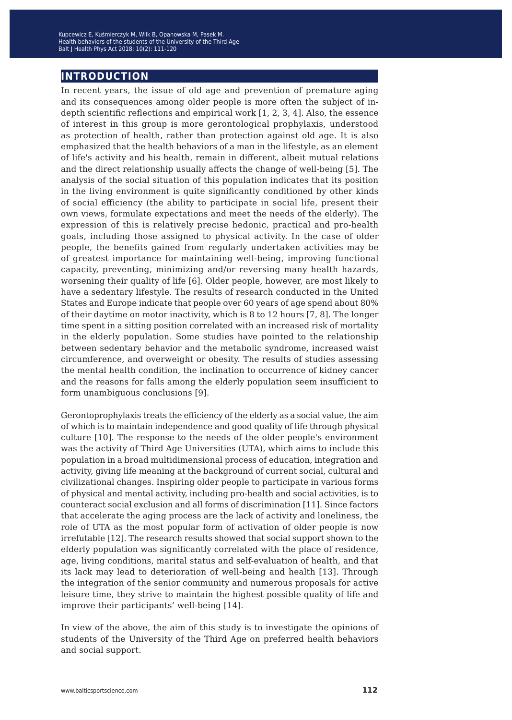#### **introduction**

In recent years, the issue of old age and prevention of premature aging and its consequences among older people is more often the subject of indepth scientific reflections and empirical work [1, 2, 3, 4]. Also, the essence of interest in this group is more gerontological prophylaxis, understood as protection of health, rather than protection against old age. It is also emphasized that the health behaviors of a man in the lifestyle, as an element of life's activity and his health, remain in different, albeit mutual relations and the direct relationship usually affects the change of well-being [5]. The analysis of the social situation of this population indicates that its position in the living environment is quite significantly conditioned by other kinds of social efficiency (the ability to participate in social life, present their own views, formulate expectations and meet the needs of the elderly). The expression of this is relatively precise hedonic, practical and pro-health goals, including those assigned to physical activity. In the case of older people, the benefits gained from regularly undertaken activities may be of greatest importance for maintaining well-being, improving functional capacity, preventing, minimizing and/or reversing many health hazards, worsening their quality of life [6]. Older people, however, are most likely to have a sedentary lifestyle. The results of research conducted in the United States and Europe indicate that people over 60 years of age spend about 80% of their daytime on motor inactivity, which is 8 to 12 hours [7, 8]. The longer time spent in a sitting position correlated with an increased risk of mortality in the elderly population. Some studies have pointed to the relationship between sedentary behavior and the metabolic syndrome, increased waist circumference, and overweight or obesity. The results of studies assessing the mental health condition, the inclination to occurrence of kidney cancer and the reasons for falls among the elderly population seem insufficient to form unambiguous conclusions [9].

Gerontoprophylaxis treats the efficiency of the elderly as a social value, the aim of which is to maintain independence and good quality of life through physical culture [10]. The response to the needs of the older people's environment was the activity of Third Age Universities (UTA), which aims to include this population in a broad multidimensional process of education, integration and activity, giving life meaning at the background of current social, cultural and civilizational changes. Inspiring older people to participate in various forms of physical and mental activity, including pro-health and social activities, is to counteract social exclusion and all forms of discrimination [11]. Since factors that accelerate the aging process are the lack of activity and loneliness, the role of UTA as the most popular form of activation of older people is now irrefutable [12]. The research results showed that social support shown to the elderly population was significantly correlated with the place of residence, age, living conditions, marital status and self-evaluation of health, and that its lack may lead to deterioration of well-being and health [13]. Through the integration of the senior community and numerous proposals for active leisure time, they strive to maintain the highest possible quality of life and improve their participants' well-being [14].

In view of the above, the aim of this study is to investigate the opinions of students of the University of the Third Age on preferred health behaviors and social support.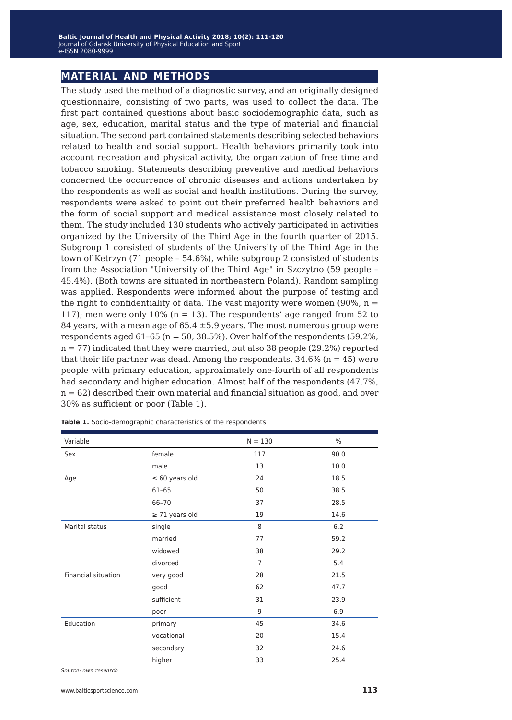### **material and methods**

The study used the method of a diagnostic survey, and an originally designed questionnaire, consisting of two parts, was used to collect the data. The first part contained questions about basic sociodemographic data, such as age, sex, education, marital status and the type of material and financial situation. The second part contained statements describing selected behaviors related to health and social support. Health behaviors primarily took into account recreation and physical activity, the organization of free time and tobacco smoking. Statements describing preventive and medical behaviors concerned the occurrence of chronic diseases and actions undertaken by the respondents as well as social and health institutions. During the survey, respondents were asked to point out their preferred health behaviors and the form of social support and medical assistance most closely related to them. The study included 130 students who actively participated in activities organized by the University of the Third Age in the fourth quarter of 2015. Subgroup 1 consisted of students of the University of the Third Age in the town of Ketrzyn (71 people – 54.6%), while subgroup 2 consisted of students from the Association "University of the Third Age" in Szczytno (59 people – 45.4%). (Both towns are situated in northeastern Poland). Random sampling was applied. Respondents were informed about the purpose of testing and the right to confidentiality of data. The vast majority were women (90%,  $n =$ 117); men were only  $10\%$  (n = 13). The respondents' age ranged from 52 to 84 years, with a mean age of  $65.4 \pm 5.9$  years. The most numerous group were respondents aged  $61-65$  (n = 50, 38.5%). Over half of the respondents (59.2%,  $n = 77$ ) indicated that they were married, but also 38 people (29.2%) reported that their life partner was dead. Among the respondents,  $34.6\%$  (n = 45) were people with primary education, approximately one-fourth of all respondents had secondary and higher education. Almost half of the respondents (47.7%, n = 62) described their own material and financial situation as good, and over 30% as sufficient or poor (Table 1).

| Variable            |                     | $N = 130$ | $\%$ |
|---------------------|---------------------|-----------|------|
| Sex                 | female              | 117       | 90.0 |
|                     | male                | 13        | 10.0 |
| Age                 | $\leq 60$ years old | 24        | 18.5 |
|                     | $61 - 65$           | 50        | 38.5 |
|                     | 66-70               | 37        | 28.5 |
|                     | $\geq$ 71 years old | 19        | 14.6 |
| Marital status      | single              | 8         | 6.2  |
|                     | married             | 77        | 59.2 |
|                     | widowed             | 38        | 29.2 |
|                     | divorced            | 7         | 5.4  |
| Financial situation | very good           | 28        | 21.5 |
|                     | good                | 62        | 47.7 |
|                     | sufficient          | 31        | 23.9 |
|                     | poor                | 9         | 6.9  |
| Education           | primary             | 45        | 34.6 |
|                     | vocational          | 20        | 15.4 |
|                     | secondary           | 32        | 24.6 |
|                     | higher              | 33        | 25.4 |

**Table 1.** Socio-demographic characteristics of the respondents

*Source: own research*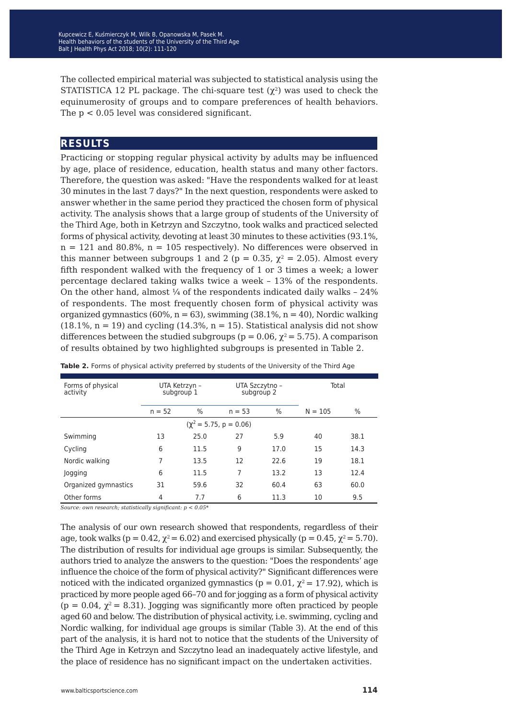The collected empirical material was subjected to statistical analysis using the STATISTICA 12 PL package. The chi-square test  $(\chi^2)$  was used to check the equinumerosity of groups and to compare preferences of health behaviors. The  $p < 0.05$  level was considered significant.

#### **results**

Practicing or stopping regular physical activity by adults may be influenced by age, place of residence, education, health status and many other factors. Therefore, the question was asked: "Have the respondents walked for at least 30 minutes in the last 7 days?" In the next question, respondents were asked to answer whether in the same period they practiced the chosen form of physical activity. The analysis shows that a large group of students of the University of the Third Age, both in Ketrzyn and Szczytno, took walks and practiced selected forms of physical activity, devoting at least 30 minutes to these activities (93.1%,  $n = 121$  and 80.8%,  $n = 105$  respectively). No differences were observed in this manner between subgroups 1 and 2 (p = 0.35,  $\chi^2$  = 2.05). Almost every fifth respondent walked with the frequency of 1 or 3 times a week; a lower percentage declared taking walks twice a week – 13% of the respondents. On the other hand, almost  $\frac{1}{4}$  of the respondents indicated daily walks - 24% of respondents. The most frequently chosen form of physical activity was organized gymnastics (60%,  $n = 63$ ), swimming (38.1%,  $n = 40$ ), Nordic walking  $(18.1\% , n = 19)$  and cycling  $(14.3\% , n = 15)$ . Statistical analysis did not show differences between the studied subgroups ( $p = 0.06$ ,  $\chi^2 = 5.75$ ). A comparison of results obtained by two highlighted subgroups is presented in Table 2.

| Forms of physical<br>activity | UTA Ketrzyn -<br>subgroup 1 |      | UTA Szczytno -<br>subgroup 2 |      | Total |           |      |  |  |  |
|-------------------------------|-----------------------------|------|------------------------------|------|-------|-----------|------|--|--|--|
|                               | %<br>$n = 52$               |      | %<br>$n = 53$                |      |       | $N = 105$ | $\%$ |  |  |  |
| $(\chi^2 = 5.75, p = 0.06)$   |                             |      |                              |      |       |           |      |  |  |  |
| Swimming                      | 13                          | 25.0 | 27                           | 5.9  | 40    | 38.1      |      |  |  |  |
| Cycling                       | 6                           | 11.5 | 9                            | 17.0 | 15    | 14.3      |      |  |  |  |
| Nordic walking                | 7                           | 13.5 | 12                           | 22.6 | 19    | 18.1      |      |  |  |  |
| Jogging                       | 6                           | 11.5 | 7                            | 13.2 | 13    | 12.4      |      |  |  |  |
| Organized gymnastics          | 31                          | 59.6 | 32                           | 60.4 | 63    | 60.0      |      |  |  |  |
| Other forms                   | 4                           | 7.7  | 6                            | 11.3 | 10    | 9.5       |      |  |  |  |

**Table 2.** Forms of physical activity preferred by students of the University of the Third Age

*Source: own research; statistically significant: p < 0.05\**

The analysis of our own research showed that respondents, regardless of their age, took walks ( $p = 0.42$ ,  $\chi^2 = 6.02$ ) and exercised physically ( $p = 0.45$ ,  $\chi^2 = 5.70$ ). The distribution of results for individual age groups is similar. Subsequently, the authors tried to analyze the answers to the question: "Does the respondents' age influence the choice of the form of physical activity?" Significant differences were noticed with the indicated organized gymnastics ( $p = 0.01$ ,  $\chi^2 = 17.92$ ), which is practiced by more people aged 66–70 and for jogging as a form of physical activity  $(p = 0.04, \gamma^2 = 8.31)$ . Jogging was significantly more often practiced by people aged 60 and below. The distribution of physical activity, i.e. swimming, cycling and Nordic walking, for individual age groups is similar (Table 3). At the end of this part of the analysis, it is hard not to notice that the students of the University of the Third Age in Ketrzyn and Szczytno lead an inadequately active lifestyle, and the place of residence has no significant impact on the undertaken activities.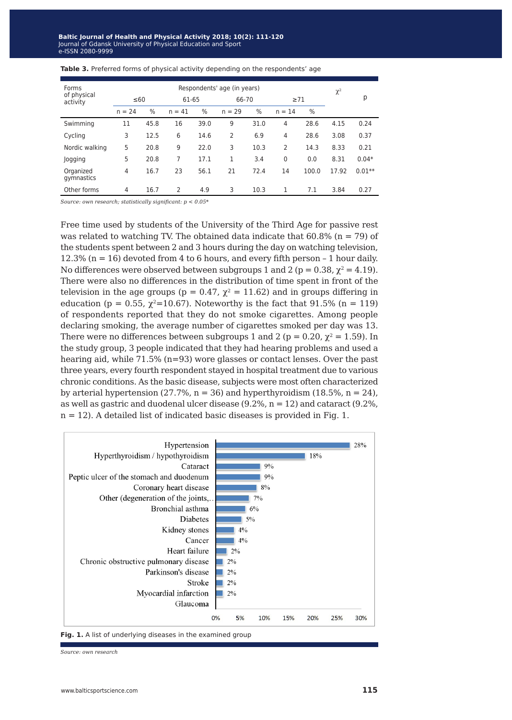| Forms                   | Respondents' age (in years) |      |          |      |          |      |           |       | $\chi^2$ |          |
|-------------------------|-----------------------------|------|----------|------|----------|------|-----------|-------|----------|----------|
| of physical<br>activity | $\leq 60$                   |      | 61-65    |      | 66-70    |      | $\geq 71$ |       |          | р        |
|                         | $n = 24$                    | $\%$ | $n = 41$ | $\%$ | $n = 29$ | $\%$ | $n = 14$  | $\%$  |          |          |
| Swimming                | 11                          | 45.8 | 16       | 39.0 | 9        | 31.0 | 4         | 28.6  | 4.15     | 0.24     |
| Cycling                 | 3                           | 12.5 | 6        | 14.6 | 2        | 6.9  | 4         | 28.6  | 3.08     | 0.37     |
| Nordic walking          | 5                           | 20.8 | 9        | 22.0 | 3        | 10.3 | 2         | 14.3  | 8.33     | 0.21     |
| Jogging                 | 5                           | 20.8 | 7        | 17.1 | 1        | 3.4  | $\Omega$  | 0.0   | 8.31     | $0.04*$  |
| Organized<br>gymnastics | $\overline{4}$              | 16.7 | 23       | 56.1 | 21       | 72.4 | 14        | 100.0 | 17.92    | $0.01**$ |
| Other forms             | $\overline{4}$              | 16.7 | 2        | 4.9  | 3        | 10.3 | 1         | 7.1   | 3.84     | 0.27     |

#### **Table 3.** Preferred forms of physical activity depending on the respondents' age

*Source: own research; statistically significant: p < 0.05\**

Free time used by students of the University of the Third Age for passive rest was related to watching TV. The obtained data indicate that  $60.8\%$  (n = 79) of the students spent between 2 and 3 hours during the day on watching television, 12.3% ( $n = 16$ ) devoted from 4 to 6 hours, and every fifth person  $-1$  hour daily. No differences were observed between subgroups 1 and 2 ( $p = 0.38$ ,  $\chi^2 = 4.19$ ). There were also no differences in the distribution of time spent in front of the television in the age groups (p = 0.47,  $\chi^2$  = 11.62) and in groups differing in education (p = 0.55,  $\chi^2$ =10.67). Noteworthy is the fact that 91.5% (n = 119) of respondents reported that they do not smoke cigarettes. Among people declaring smoking, the average number of cigarettes smoked per day was 13. There were no differences between subgroups 1 and 2 ( $p = 0.20$ ,  $\chi^2 = 1.59$ ). In the study group, 3 people indicated that they had hearing problems and used a hearing aid, while 71.5% (n=93) wore glasses or contact lenses. Over the past three years, every fourth respondent stayed in hospital treatment due to various chronic conditions. As the basic disease, subjects were most often characterized by arterial hypertension (27.7%,  $n = 36$ ) and hyperthyroidism (18.5%,  $n = 24$ ), as well as gastric and duodenal ulcer disease (9.2%, n = 12) and cataract (9.2%, n = 12). A detailed list of indicated basic diseases is provided in Fig. 1.



**Fig. 1.** A list of underlying diseases in the examined group

*Source: own research*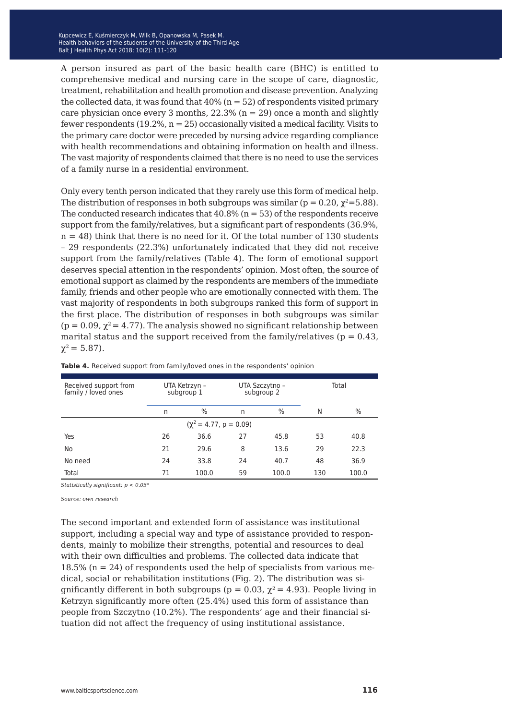A person insured as part of the basic health care (BHC) is entitled to comprehensive medical and nursing care in the scope of care, diagnostic, treatment, rehabilitation and health promotion and disease prevention. Analyzing the collected data, it was found that  $40\%$  (n = 52) of respondents visited primary care physician once every 3 months,  $22.3\%$  (n = 29) once a month and slightly fewer respondents  $(19.2\%, n = 25)$  occasionally visited a medical facility. Visits to the primary care doctor were preceded by nursing advice regarding compliance with health recommendations and obtaining information on health and illness. The vast majority of respondents claimed that there is no need to use the services of a family nurse in a residential environment.

Only every tenth person indicated that they rarely use this form of medical help. The distribution of responses in both subgroups was similar ( $p = 0.20$ ,  $\chi^2 = 5.88$ ). The conducted research indicates that  $40.8\%$  (n = 53) of the respondents receive support from the family/relatives, but a significant part of respondents (36.9%,  $n = 48$ ) think that there is no need for it. Of the total number of 130 students – 29 respondents (22.3%) unfortunately indicated that they did not receive support from the family/relatives (Table 4). The form of emotional support deserves special attention in the respondents' opinion. Most often, the source of emotional support as claimed by the respondents are members of the immediate family, friends and other people who are emotionally connected with them. The vast majority of respondents in both subgroups ranked this form of support in the first place. The distribution of responses in both subgroups was similar ( $p = 0.09$ ,  $\chi^2 = 4.77$ ). The analysis showed no significant relationship between marital status and the support received from the family/relatives ( $p = 0.43$ )  $\chi^2 = 5.87$ ).

| Received support from<br>family / loved ones | UTA Ketrzyn –<br>subgroup 1 |       |    | UTA Szczytno -<br>subgroup 2 | Total |       |  |  |  |  |
|----------------------------------------------|-----------------------------|-------|----|------------------------------|-------|-------|--|--|--|--|
|                                              | $\%$<br>n                   |       | n  | $\%$                         | N     | %     |  |  |  |  |
| $(\chi^2 = 4.77, p = 0.09)$                  |                             |       |    |                              |       |       |  |  |  |  |
| Yes                                          | 26                          | 36.6  | 27 | 45.8                         | 53    | 40.8  |  |  |  |  |
| No                                           | 21                          | 29.6  | 8  | 13.6                         | 29    | 22.3  |  |  |  |  |
| No need                                      | 24                          | 33.8  | 24 | 40.7                         | 48    | 36.9  |  |  |  |  |
| Total                                        | 71                          | 100.0 | 59 | 100.0                        | 130   | 100.0 |  |  |  |  |

**Table 4.** Received support from family/loved ones in the respondents' opinion

*Statistically significant: p < 0.05\**

*Source: own research*

The second important and extended form of assistance was institutional support, including a special way and type of assistance provided to respondents, mainly to mobilize their strengths, potential and resources to deal with their own difficulties and problems. The collected data indicate that 18.5% ( $n = 24$ ) of respondents used the help of specialists from various medical, social or rehabilitation institutions (Fig. 2). The distribution was significantly different in both subgroups (p = 0.03,  $\chi^2$  = 4.93). People living in Ketrzyn significantly more often (25.4%) used this form of assistance than people from Szczytno (10.2%). The respondents' age and their financial situation did not affect the frequency of using institutional assistance.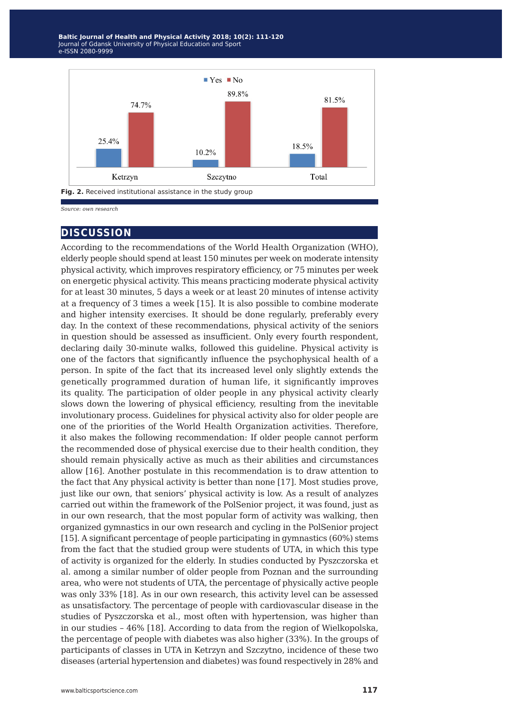Baltic Journal of Health and Physical Activity 2018; 10(2): 111-120 Journal of Gdansk University of Physical Education and Sport Balt J Health Phys Act 2014; 1(1): 233-244 e-ISSN 2080-9999



*Source: own research*

#### **discussion**

According to the recommendations of the World Health Organization (WHO), elderly people should spend at least 150 minutes per week on moderate intensity physical activity, which improves respiratory efficiency, or 75 minutes per week on energetic physical activity. This means practicing moderate physical activity for at least 30 minutes, 5 days a week or at least 20 minutes of intense activity at a frequency of 3 times a week [15]. It is also possible to combine moderate and higher intensity exercises. It should be done regularly, preferably every day. In the context of these recommendations, physical activity of the seniors in question should be assessed as insufficient. Only every fourth respondent, declaring daily 30-minute walks, followed this guideline. Physical activity is one of the factors that significantly influence the psychophysical health of a person. In spite of the fact that its increased level only slightly extends the genetically programmed duration of human life, it significantly improves its quality. The participation of older people in any physical activity clearly slows down the lowering of physical efficiency, resulting from the inevitable involutionary process. Guidelines for physical activity also for older people are one of the priorities of the World Health Organization activities. Therefore, it also makes the following recommendation: If older people cannot perform the recommended dose of physical exercise due to their health condition, they should remain physically active as much as their abilities and circumstances allow [16]. Another postulate in this recommendation is to draw attention to the fact that Any physical activity is better than none [17]. Most studies prove, just like our own, that seniors' physical activity is low. As a result of analyzes carried out within the framework of the PolSenior project, it was found, just as in our own research, that the most popular form of activity was walking, then organized gymnastics in our own research and cycling in the PolSenior project [15]. A significant percentage of people participating in gymnastics (60%) stems from the fact that the studied group were students of UTA, in which this type of activity is organized for the elderly. In studies conducted by Pyszczorska et al. among a similar number of older people from Poznan and the surrounding area, who were not students of UTA, the percentage of physically active people was only 33% [18]. As in our own research, this activity level can be assessed as unsatisfactory. The percentage of people with cardiovascular disease in the studies of Pyszczorska et al., most often with hypertension, was higher than in our studies – 46% [18]. According to data from the region of Wielkopolska, the percentage of people with diabetes was also higher (33%). In the groups of participants of classes in UTA in Ketrzyn and Szczytno, incidence of these two diseases (arterial hypertension and diabetes) was found respectively in 28% and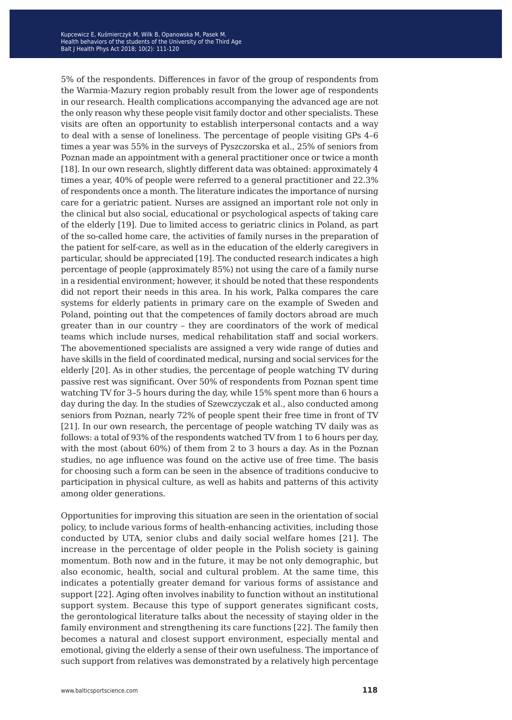5% of the respondents. Differences in favor of the group of respondents from the Warmia-Mazury region probably result from the lower age of respondents in our research. Health complications accompanying the advanced age are not the only reason why these people visit family doctor and other specialists. These visits are often an opportunity to establish interpersonal contacts and a way to deal with a sense of loneliness. The percentage of people visiting GPs 4–6 times a year was 55% in the surveys of Pyszczorska et al., 25% of seniors from Poznan made an appointment with a general practitioner once or twice a month [18]. In our own research, slightly different data was obtained: approximately 4 times a year, 40% of people were referred to a general practitioner and 22.3% of respondents once a month. The literature indicates the importance of nursing care for a geriatric patient. Nurses are assigned an important role not only in the clinical but also social, educational or psychological aspects of taking care of the elderly [19]. Due to limited access to geriatric clinics in Poland, as part of the so-called home care, the activities of family nurses in the preparation of the patient for self-care, as well as in the education of the elderly caregivers in particular, should be appreciated [19]. The conducted research indicates a high percentage of people (approximately 85%) not using the care of a family nurse in a residential environment; however, it should be noted that these respondents did not report their needs in this area. In his work, Palka compares the care systems for elderly patients in primary care on the example of Sweden and Poland, pointing out that the competences of family doctors abroad are much greater than in our country – they are coordinators of the work of medical teams which include nurses, medical rehabilitation staff and social workers. The abovementioned specialists are assigned a very wide range of duties and have skills in the field of coordinated medical, nursing and social services for the elderly [20]. As in other studies, the percentage of people watching TV during passive rest was significant. Over 50% of respondents from Poznan spent time watching TV for 3–5 hours during the day, while 15% spent more than 6 hours a day during the day. In the studies of Szewczyczak et al., also conducted among seniors from Poznan, nearly 72% of people spent their free time in front of TV [21]. In our own research, the percentage of people watching TV daily was as follows: a total of 93% of the respondents watched TV from 1 to 6 hours per day, with the most (about 60%) of them from 2 to 3 hours a day. As in the Poznan studies, no age influence was found on the active use of free time. The basis for choosing such a form can be seen in the absence of traditions conducive to participation in physical culture, as well as habits and patterns of this activity among older generations.

Opportunities for improving this situation are seen in the orientation of social policy, to include various forms of health-enhancing activities, including those conducted by UTA, senior clubs and daily social welfare homes [21]. The increase in the percentage of older people in the Polish society is gaining momentum. Both now and in the future, it may be not only demographic, but also economic, health, social and cultural problem. At the same time, this indicates a potentially greater demand for various forms of assistance and support [22]. Aging often involves inability to function without an institutional support system. Because this type of support generates significant costs, the gerontological literature talks about the necessity of staying older in the family environment and strengthening its care functions [22]. The family then becomes a natural and closest support environment, especially mental and emotional, giving the elderly a sense of their own usefulness. The importance of such support from relatives was demonstrated by a relatively high percentage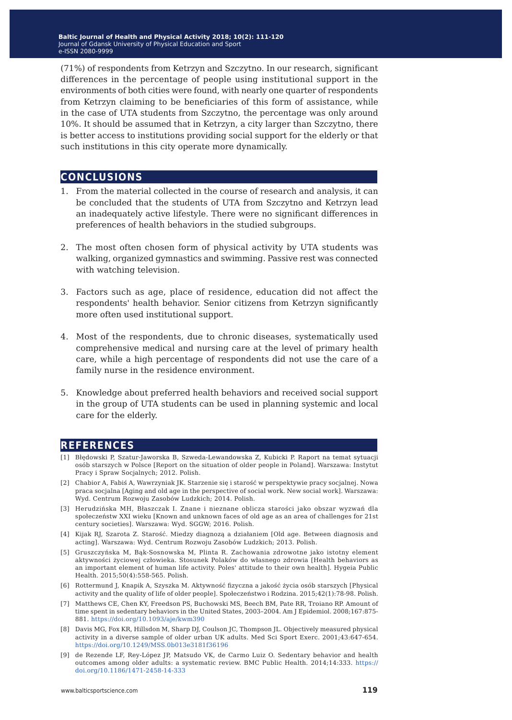(71%) of respondents from Ketrzyn and Szczytno. In our research, significant differences in the percentage of people using institutional support in the environments of both cities were found, with nearly one quarter of respondents from Ketrzyn claiming to be beneficiaries of this form of assistance, while in the case of UTA students from Szczytno, the percentage was only around 10%. It should be assumed that in Ketrzyn, a city larger than Szczytno, there is better access to institutions providing social support for the elderly or that such institutions in this city operate more dynamically.

#### **conclusions**

- 1. From the material collected in the course of research and analysis, it can be concluded that the students of UTA from Szczytno and Ketrzyn lead an inadequately active lifestyle. There were no significant differences in preferences of health behaviors in the studied subgroups.
- 2. The most often chosen form of physical activity by UTA students was walking, organized gymnastics and swimming. Passive rest was connected with watching television.
- 3. Factors such as age, place of residence, education did not affect the respondents' health behavior. Senior citizens from Ketrzyn significantly more often used institutional support.
- 4. Most of the respondents, due to chronic diseases, systematically used comprehensive medical and nursing care at the level of primary health care, while a high percentage of respondents did not use the care of a family nurse in the residence environment.
- 5. Knowledge about preferred health behaviors and received social support in the group of UTA students can be used in planning systemic and local care for the elderly.

### **references**

- [1] Błędowski P, Szatur-Jaworska B, Szweda-Lewandowska Z, Kubicki P. Raport na temat sytuacji osób starszych w Polsce [Report on the situation of older people in Poland]. Warszawa: Instytut Pracy i Spraw Socjalnych; 2012. Polish.
- [2] Chabior A, Fabiś A, Wawrzyniak JK. Starzenie się i starość w perspektywie pracy socjalnej. Nowa praca socjalna [Aging and old age in the perspective of social work. New social work]. Warszawa: Wyd. Centrum Rozwoju Zasobów Ludzkich; 2014. Polish.
- [3] Herudzińska MH, Błaszczak I. Znane i nieznane oblicza starości jako obszar wyzwań dla społeczeństw XXI wieku [Known and unknown faces of old age as an area of challenges for 21st century societies]. Warszawa: Wyd. SGGW; 2016. Polish.
- [4] Kijak RJ, Szarota Z. Starość. Miedzy diagnozą a działaniem [Old age. Between diagnosis and acting]. Warszawa: Wyd. Centrum Rozwoju Zasobów Ludzkich; 2013. Polish.
- [5] Gruszczyńska M, Bąk-Sosnowska M, Plinta R. Zachowania zdrowotne jako istotny element aktywności życiowej człowieka. Stosunek Polaków do własnego zdrowia [Health behaviors as an important element of human life activity. Poles' attitude to their own health]. Hygeia Public Health. 2015;50(4):558-565. Polish.
- [6] Rottermund J, Knapik A, Szyszka M. Aktywność fizyczna a jakość życia osób starszych [Physical activity and the quality of life of older people]. Społeczeństwo i Rodzina. 2015;42(1):78-98. Polish.
- [7] Matthews CE, Chen KY, Freedson PS, Buchowski MS, Beech BM, Pate RR, Troiano RP. Amount of time spent in sedentary behaviors in the United States, 2003–2004. Am J Epidemiol. 2008;167:875- 881. <https://doi.org/10.1093/aje/kwm390>
- [8] Davis MG, Fox KR, Hillsdon M, Sharp DJ, Coulson JC, Thompson JL. Objectively measured physical activity in a diverse sample of older urban UK adults. Med Sci Sport Exerc. 2001;43:647-654. <https://doi.org/10.1249/MSS.0b013e3181f36196>
- [9] de Rezende LF, Rey-López JP, Matsudo VK, de Carmo Luiz O. Sedentary behavior and health outcomes among older adults: a systematic review. BMC Public Health. 2014;14:333. [https://](https://doi.org/10.1186/1471-2458-14-333) [doi.org/10.1186/1471-2458-14-333](https://doi.org/10.1186/1471-2458-14-333)